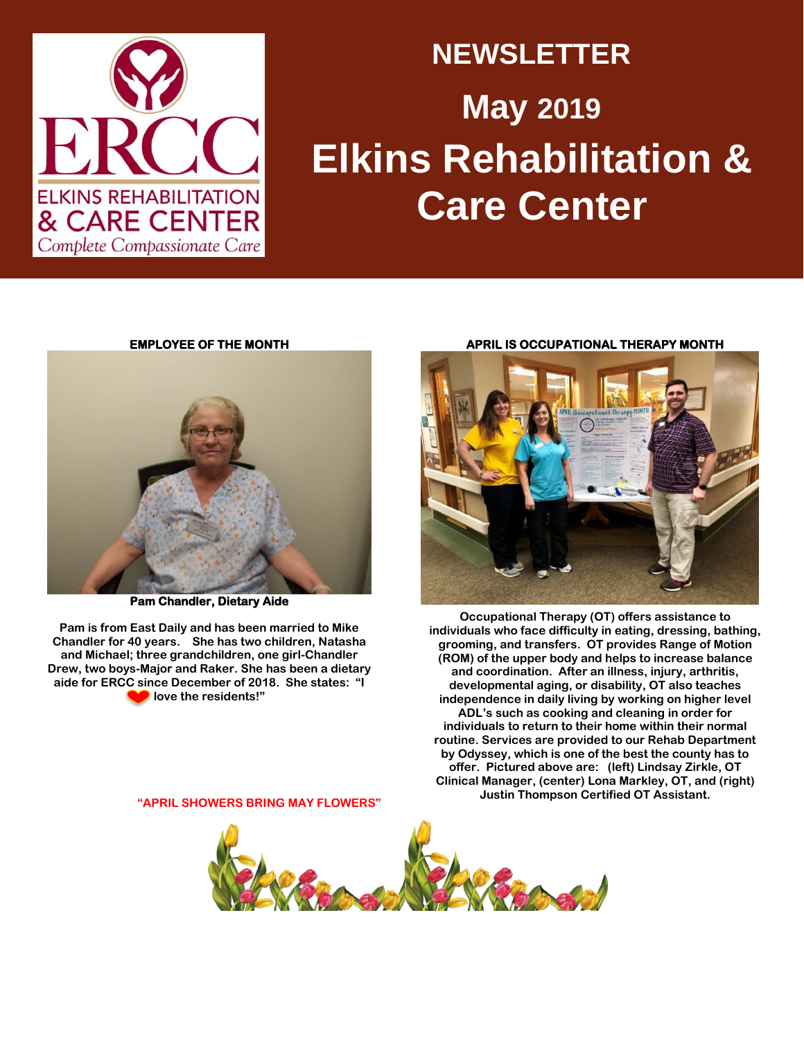

## **Elkins Rehabilitation & Care Center NEWSLETTER May 2019**

## **EMPLOYEE OF THE MONTH**



**Pam Chandler, Dietary Aide** 

**Pam is from East Daily and has been married to Mike Chandler for 40 years. She has two children, Natasha and Michael; three grandchildren, one girl-Chandler Drew, two boys-Major and Raker. She has been a dietary aide for ERCC since December of 2018. She states: "I love the residents!"**

**APRIL IS OCCUPATIONAL THERAPY MONTH** 



**Occupational Therapy (OT) offers assistance to individuals who face difficulty in eating, dressing, bathing, grooming, and transfers. OT provides Range of Motion (ROM) of the upper body and helps to increase balance and coordination. After an illness, injury, arthritis, developmental aging, or disability, OT also teaches independence in daily living by working on higher level ADL's such as cooking and cleaning in order for individuals to return to their home within their normal routine. Services are provided to our Rehab Department by Odyssey, which is one of the best the county has to offer. Pictured above are: (left) Lindsay Zirkle, OT Clinical Manager, (center) Lona Markley, OT, and (right) Justin Thompson Certified OT Assistant.**

**"APRIL SHOWERS BRING MAY FLOWERS"**

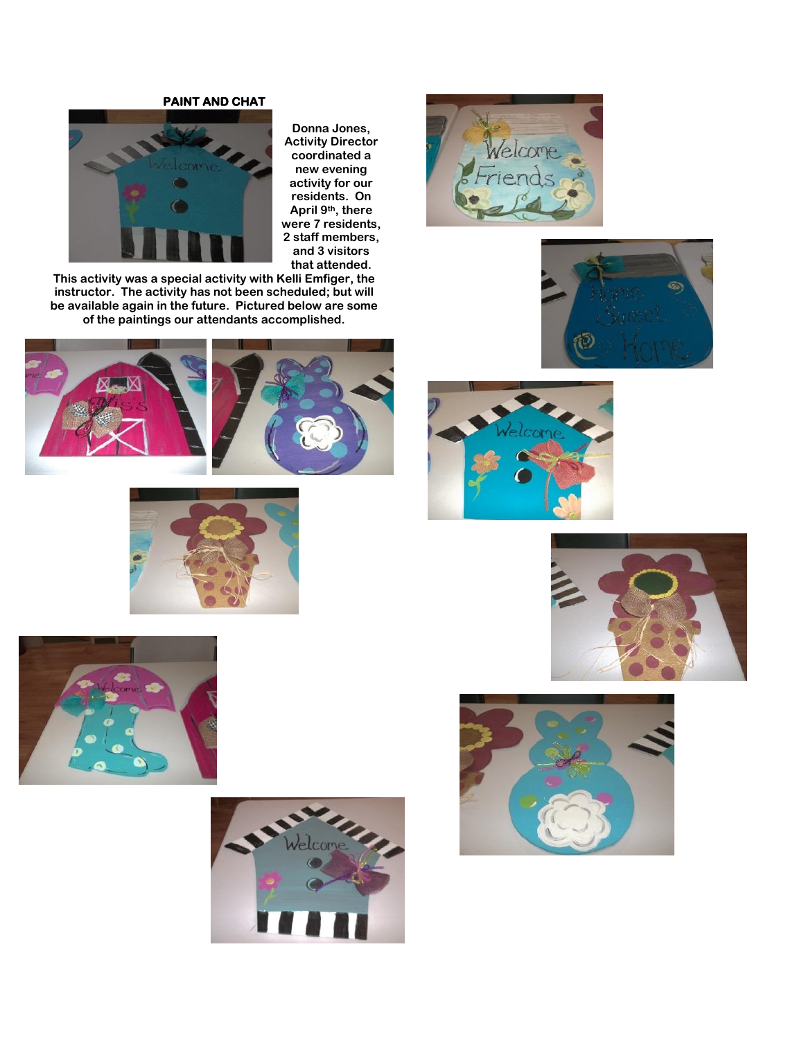## **PAINT AND CHAT**



**Donna Jones, Activity Director coordinated a new evening activity for our residents. On April 9th, there were 7 residents, 2 staff members, and 3 visitors that attended.** 

**This activity was a special activity with Kelli Emfiger, the instructor. The activity has not been scheduled; but will be available again in the future. Pictured below are some of the paintings our attendants accomplished.**